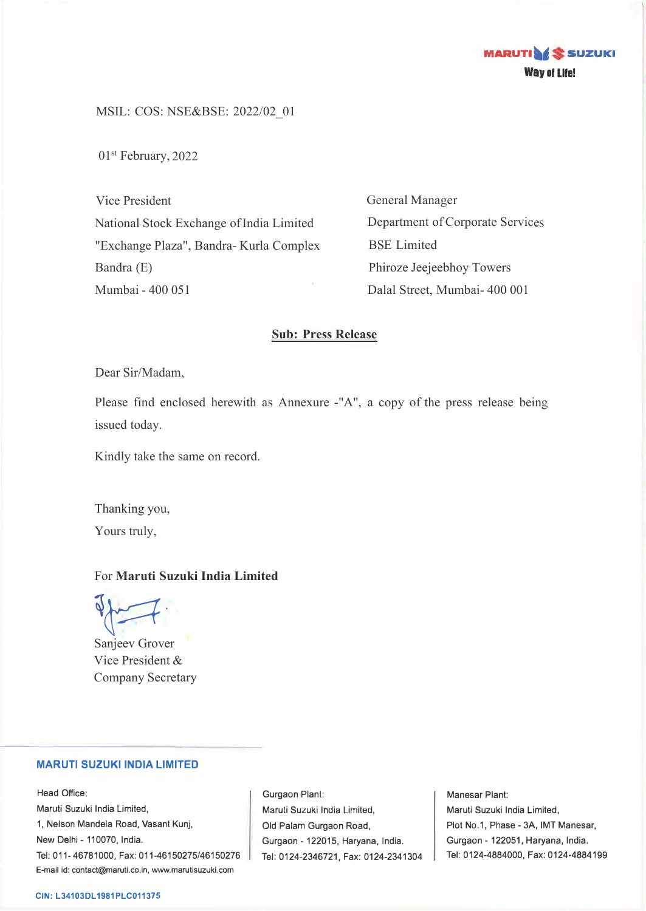

MSIL: COS: NSE&BSE: 2022/02\_01

01st February, 2022

Vice President National Stock Exchange of India Limited "Exchange Plaza", Bandra- Kurla Complex Bandra (E) Mumbai - 400 051

General Manager Department of Corporate Services BSE Limited Phiroze Jeejeebhoy Towers Dalal Street, Mumbai- 400 001

### **Sub: Press Release**

Dear Sir/Madam,

Please find enclosed herewith as Annexure -"A", a copy of the press release being issued today.

Kindly take the same on record.

Thanking you, Yours truly,

## For **Maruti Suzuki India Limited**

Sanjeev Grover

Vice President & Company Secretary

### **MARUTI SUZUKI INDIA LIMITED**

Head Office: Maruti Suzuki India Limited, 1, Nelson Mandela Road, Vasant Kunj, New Delhi - 110070, India. Tel: 011-46781000, Fax: 011-46150275/46150276 E-mail id: contact@maruti.co.in, www.marutisuzuki.com

Gurgaon Plant: Maruli Suzuki India Lirniled, Old Palam Gurgaon Road, Gurgaon - 122015, Haryana, India. Tel: 0124-2346721, Fax: 0124-2341304

Manesar Plant: Maruti Suzuki India Limited, Plot No.1, Phase - 3A, IMT Manesar, Gurgaon - 122051, Haryana, India. Tel: 0124-4884000, Fax: 0124-4884199

#### **CIN: L34103DL1981PLC011375**